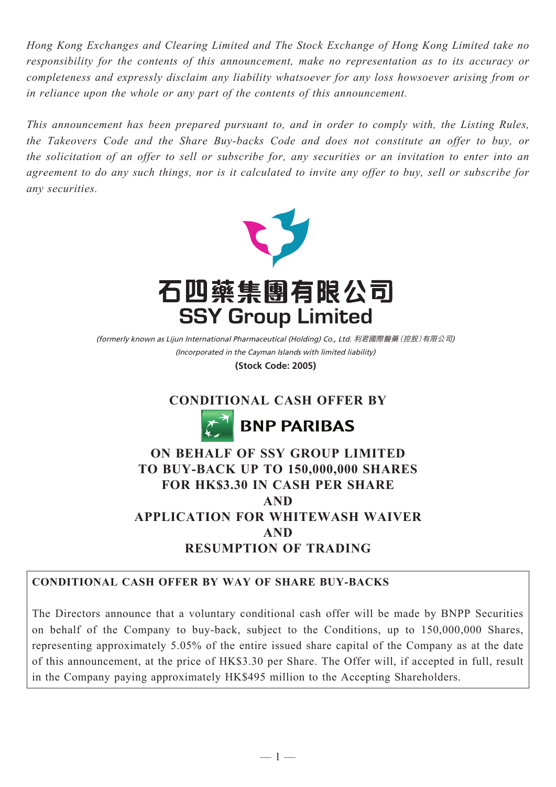*Hong Kong Exchanges and Clearing Limited and The Stock Exchange of Hong Kong Limited take no responsibility for the contents of this announcement, make no representation as to its accuracy or completeness and expressly disclaim any liability whatsoever for any loss howsoever arising from or in reliance upon the whole or any part of the contents of this announcement.*

*This announcement has been prepared pursuant to, and in order to comply with, the Listing Rules, the Takeovers Code and the Share Buy-backs Code and does not constitute an offer to buy, or the solicitation of an offer to sell or subscribe for, any securities or an invitation to enter into an agreement to do any such things, nor is it calculated to invite any offer to buy, sell or subscribe for any securities.*



(Incorporated in the Cayman Islands with limited liability) (formerly known as Lijun International Pharmaceutical (Holding) Co., Ltd. 利君國際醫藥(控股)有限公司)

**(Stock Code: 2005)**

# **CONDITIONAL CASH OFFER BY**



# **ON BEHALF OF SSY GROUP LIMITED TO BUY-BACK UP TO 150,000,000 SHARES FOR HK\$3.30 IN CASH PER SHARE AND APPLICATION FOR WHITEWASH WAIVER AND RESUMPTION OF TRADING**

# **CONDITIONAL CASH OFFER BY WAY OF SHARE BUY-BACKS**

The Directors announce that a voluntary conditional cash offer will be made by BNPP Securities on behalf of the Company to buy-back, subject to the Conditions, up to 150,000,000 Shares, representing approximately 5.05% of the entire issued share capital of the Company as at the date of this announcement, at the price of HK\$3.30 per Share. The Offer will, if accepted in full, result in the Company paying approximately HK\$495 million to the Accepting Shareholders.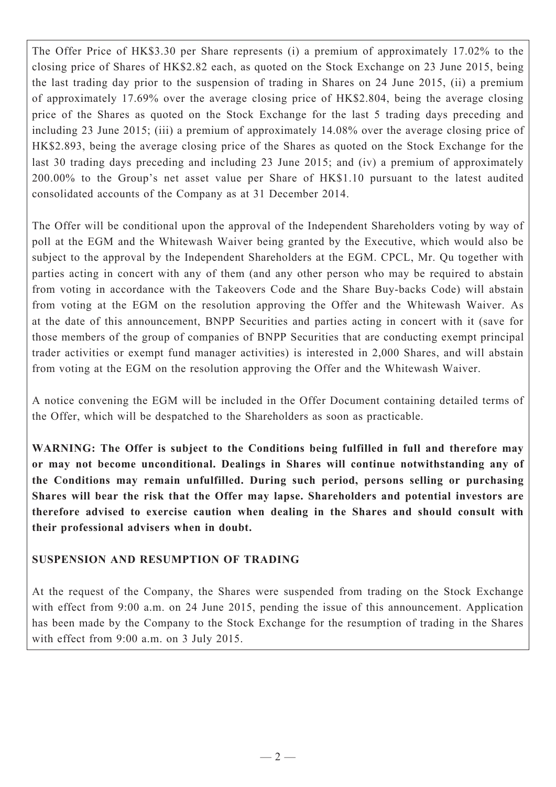The Offer Price of HK\$3.30 per Share represents (i) a premium of approximately 17.02% to the closing price of Shares of HK\$2.82 each, as quoted on the Stock Exchange on 23 June 2015, being the last trading day prior to the suspension of trading in Shares on 24 June 2015, (ii) a premium of approximately 17.69% over the average closing price of HK\$2.804, being the average closing price of the Shares as quoted on the Stock Exchange for the last 5 trading days preceding and including 23 June 2015; (iii) a premium of approximately 14.08% over the average closing price of HK\$2.893, being the average closing price of the Shares as quoted on the Stock Exchange for the last 30 trading days preceding and including 23 June 2015; and (iv) a premium of approximately 200.00% to the Group's net asset value per Share of HK\$1.10 pursuant to the latest audited consolidated accounts of the Company as at 31 December 2014.

The Offer will be conditional upon the approval of the Independent Shareholders voting by way of poll at the EGM and the Whitewash Waiver being granted by the Executive, which would also be subject to the approval by the Independent Shareholders at the EGM. CPCL, Mr. Qu together with parties acting in concert with any of them (and any other person who may be required to abstain from voting in accordance with the Takeovers Code and the Share Buy-backs Code) will abstain from voting at the EGM on the resolution approving the Offer and the Whitewash Waiver. As at the date of this announcement, BNPP Securities and parties acting in concert with it (save for those members of the group of companies of BNPP Securities that are conducting exempt principal trader activities or exempt fund manager activities) is interested in 2,000 Shares, and will abstain from voting at the EGM on the resolution approving the Offer and the Whitewash Waiver.

A notice convening the EGM will be included in the Offer Document containing detailed terms of the Offer, which will be despatched to the Shareholders as soon as practicable.

**WARNING: The Offer is subject to the Conditions being fulfilled in full and therefore may or may not become unconditional. Dealings in Shares will continue notwithstanding any of the Conditions may remain unfulfilled. During such period, persons selling or purchasing Shares will bear the risk that the Offer may lapse. Shareholders and potential investors are therefore advised to exercise caution when dealing in the Shares and should consult with their professional advisers when in doubt.**

### **SUSPENSION AND RESUMPTION OF TRADING**

At the request of the Company, the Shares were suspended from trading on the Stock Exchange with effect from 9:00 a.m. on 24 June 2015, pending the issue of this announcement. Application has been made by the Company to the Stock Exchange for the resumption of trading in the Shares with effect from 9:00 a.m. on 3 July 2015.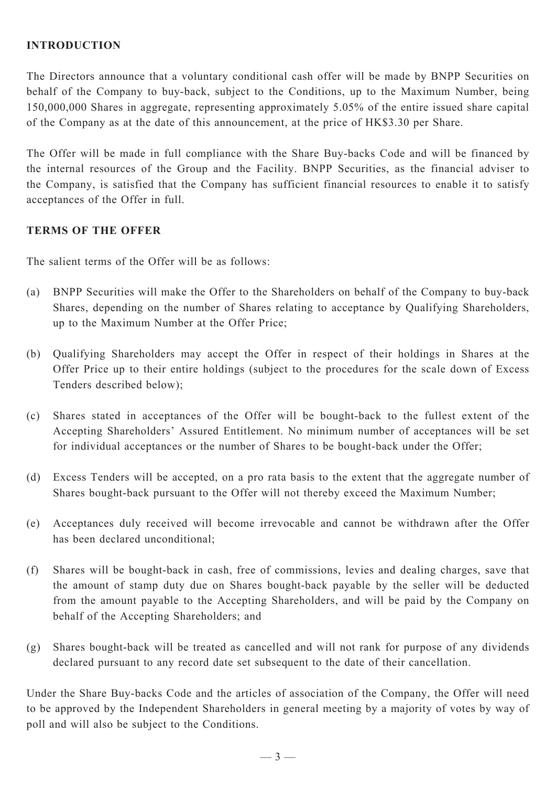### **INTRODUCTION**

The Directors announce that a voluntary conditional cash offer will be made by BNPP Securities on behalf of the Company to buy-back, subject to the Conditions, up to the Maximum Number, being 150,000,000 Shares in aggregate, representing approximately 5.05% of the entire issued share capital of the Company as at the date of this announcement, at the price of HK\$3.30 per Share.

The Offer will be made in full compliance with the Share Buy-backs Code and will be financed by the internal resources of the Group and the Facility. BNPP Securities, as the financial adviser to the Company, is satisfied that the Company has sufficient financial resources to enable it to satisfy acceptances of the Offer in full.

### **TERMS OF THE OFFER**

The salient terms of the Offer will be as follows:

- (a) BNPP Securities will make the Offer to the Shareholders on behalf of the Company to buy-back Shares, depending on the number of Shares relating to acceptance by Qualifying Shareholders, up to the Maximum Number at the Offer Price;
- (b) Qualifying Shareholders may accept the Offer in respect of their holdings in Shares at the Offer Price up to their entire holdings (subject to the procedures for the scale down of Excess Tenders described below);
- (c) Shares stated in acceptances of the Offer will be bought-back to the fullest extent of the Accepting Shareholders' Assured Entitlement. No minimum number of acceptances will be set for individual acceptances or the number of Shares to be bought-back under the Offer;
- (d) Excess Tenders will be accepted, on a pro rata basis to the extent that the aggregate number of Shares bought-back pursuant to the Offer will not thereby exceed the Maximum Number;
- (e) Acceptances duly received will become irrevocable and cannot be withdrawn after the Offer has been declared unconditional;
- (f) Shares will be bought-back in cash, free of commissions, levies and dealing charges, save that the amount of stamp duty due on Shares bought-back payable by the seller will be deducted from the amount payable to the Accepting Shareholders, and will be paid by the Company on behalf of the Accepting Shareholders; and
- (g) Shares bought-back will be treated as cancelled and will not rank for purpose of any dividends declared pursuant to any record date set subsequent to the date of their cancellation.

Under the Share Buy-backs Code and the articles of association of the Company, the Offer will need to be approved by the Independent Shareholders in general meeting by a majority of votes by way of poll and will also be subject to the Conditions.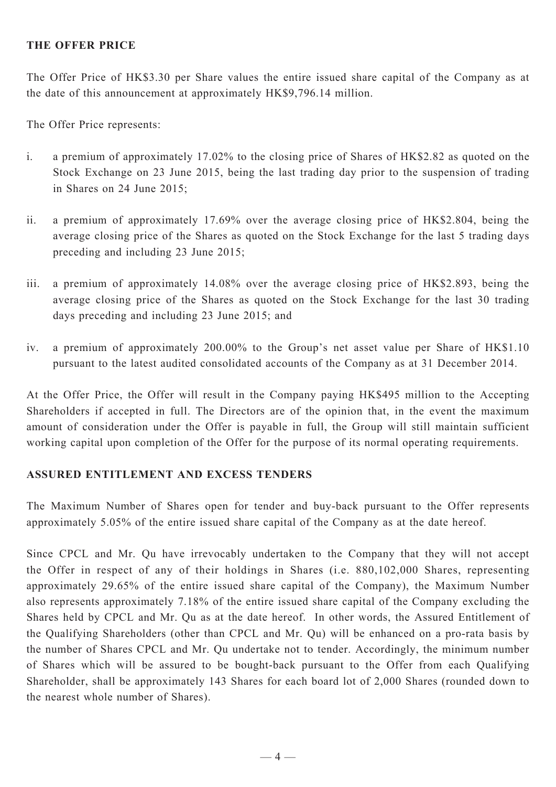#### **THE OFFER PRICE**

The Offer Price of HK\$3.30 per Share values the entire issued share capital of the Company as at the date of this announcement at approximately HK\$9,796.14 million.

The Offer Price represents:

- i. a premium of approximately 17.02% to the closing price of Shares of HK\$2.82 as quoted on the Stock Exchange on 23 June 2015, being the last trading day prior to the suspension of trading in Shares on 24 June 2015;
- ii. a premium of approximately 17.69% over the average closing price of HK\$2.804, being the average closing price of the Shares as quoted on the Stock Exchange for the last 5 trading days preceding and including 23 June 2015;
- iii. a premium of approximately 14.08% over the average closing price of HK\$2.893, being the average closing price of the Shares as quoted on the Stock Exchange for the last 30 trading days preceding and including 23 June 2015; and
- iv. a premium of approximately 200.00% to the Group's net asset value per Share of HK\$1.10 pursuant to the latest audited consolidated accounts of the Company as at 31 December 2014.

At the Offer Price, the Offer will result in the Company paying HK\$495 million to the Accepting Shareholders if accepted in full. The Directors are of the opinion that, in the event the maximum amount of consideration under the Offer is payable in full, the Group will still maintain sufficient working capital upon completion of the Offer for the purpose of its normal operating requirements.

#### **ASSURED ENTITLEMENT AND EXCESS TENDERS**

The Maximum Number of Shares open for tender and buy-back pursuant to the Offer represents approximately 5.05% of the entire issued share capital of the Company as at the date hereof.

Since CPCL and Mr. Qu have irrevocably undertaken to the Company that they will not accept the Offer in respect of any of their holdings in Shares (i.e. 880,102,000 Shares, representing approximately 29.65% of the entire issued share capital of the Company), the Maximum Number also represents approximately 7.18% of the entire issued share capital of the Company excluding the Shares held by CPCL and Mr. Qu as at the date hereof. In other words, the Assured Entitlement of the Qualifying Shareholders (other than CPCL and Mr. Qu) will be enhanced on a pro-rata basis by the number of Shares CPCL and Mr. Qu undertake not to tender. Accordingly, the minimum number of Shares which will be assured to be bought-back pursuant to the Offer from each Qualifying Shareholder, shall be approximately 143 Shares for each board lot of 2,000 Shares (rounded down to the nearest whole number of Shares).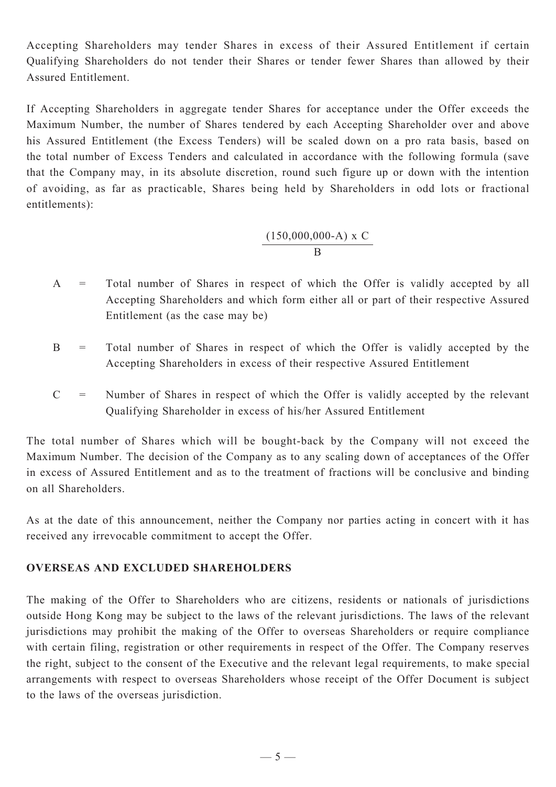Accepting Shareholders may tender Shares in excess of their Assured Entitlement if certain Qualifying Shareholders do not tender their Shares or tender fewer Shares than allowed by their Assured Entitlement.

If Accepting Shareholders in aggregate tender Shares for acceptance under the Offer exceeds the Maximum Number, the number of Shares tendered by each Accepting Shareholder over and above his Assured Entitlement (the Excess Tenders) will be scaled down on a pro rata basis, based on the total number of Excess Tenders and calculated in accordance with the following formula (save that the Company may, in its absolute discretion, round such figure up or down with the intention of avoiding, as far as practicable, Shares being held by Shareholders in odd lots or fractional entitlements):

$$
\frac{(150,000,000-A) \times C}{B}
$$

- A = Total number of Shares in respect of which the Offer is validly accepted by all Accepting Shareholders and which form either all or part of their respective Assured Entitlement (as the case may be)
- B = Total number of Shares in respect of which the Offer is validly accepted by the Accepting Shareholders in excess of their respective Assured Entitlement
- $C =$  Number of Shares in respect of which the Offer is validly accepted by the relevant Qualifying Shareholder in excess of his/her Assured Entitlement

The total number of Shares which will be bought-back by the Company will not exceed the Maximum Number. The decision of the Company as to any scaling down of acceptances of the Offer in excess of Assured Entitlement and as to the treatment of fractions will be conclusive and binding on all Shareholders.

As at the date of this announcement, neither the Company nor parties acting in concert with it has received any irrevocable commitment to accept the Offer.

### **OVERSEAS AND EXCLUDED SHAREHOLDERS**

The making of the Offer to Shareholders who are citizens, residents or nationals of jurisdictions outside Hong Kong may be subject to the laws of the relevant jurisdictions. The laws of the relevant jurisdictions may prohibit the making of the Offer to overseas Shareholders or require compliance with certain filing, registration or other requirements in respect of the Offer. The Company reserves the right, subject to the consent of the Executive and the relevant legal requirements, to make special arrangements with respect to overseas Shareholders whose receipt of the Offer Document is subject to the laws of the overseas jurisdiction.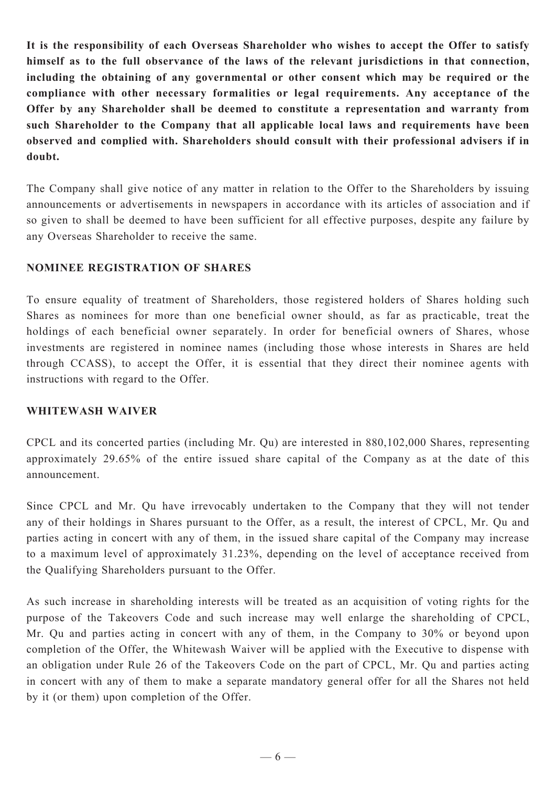**It is the responsibility of each Overseas Shareholder who wishes to accept the Offer to satisfy himself as to the full observance of the laws of the relevant jurisdictions in that connection, including the obtaining of any governmental or other consent which may be required or the compliance with other necessary formalities or legal requirements. Any acceptance of the Offer by any Shareholder shall be deemed to constitute a representation and warranty from such Shareholder to the Company that all applicable local laws and requirements have been observed and complied with. Shareholders should consult with their professional advisers if in doubt.**

The Company shall give notice of any matter in relation to the Offer to the Shareholders by issuing announcements or advertisements in newspapers in accordance with its articles of association and if so given to shall be deemed to have been sufficient for all effective purposes, despite any failure by any Overseas Shareholder to receive the same.

#### **NOMINEE REGISTRATION OF SHARES**

To ensure equality of treatment of Shareholders, those registered holders of Shares holding such Shares as nominees for more than one beneficial owner should, as far as practicable, treat the holdings of each beneficial owner separately. In order for beneficial owners of Shares, whose investments are registered in nominee names (including those whose interests in Shares are held through CCASS), to accept the Offer, it is essential that they direct their nominee agents with instructions with regard to the Offer.

#### **WHITEWASH WAIVER**

CPCL and its concerted parties (including Mr. Qu) are interested in 880,102,000 Shares, representing approximately 29.65% of the entire issued share capital of the Company as at the date of this announcement.

Since CPCL and Mr. Qu have irrevocably undertaken to the Company that they will not tender any of their holdings in Shares pursuant to the Offer, as a result, the interest of CPCL, Mr. Qu and parties acting in concert with any of them, in the issued share capital of the Company may increase to a maximum level of approximately 31.23%, depending on the level of acceptance received from the Qualifying Shareholders pursuant to the Offer.

As such increase in shareholding interests will be treated as an acquisition of voting rights for the purpose of the Takeovers Code and such increase may well enlarge the shareholding of CPCL, Mr. Qu and parties acting in concert with any of them, in the Company to 30% or beyond upon completion of the Offer, the Whitewash Waiver will be applied with the Executive to dispense with an obligation under Rule 26 of the Takeovers Code on the part of CPCL, Mr. Qu and parties acting in concert with any of them to make a separate mandatory general offer for all the Shares not held by it (or them) upon completion of the Offer.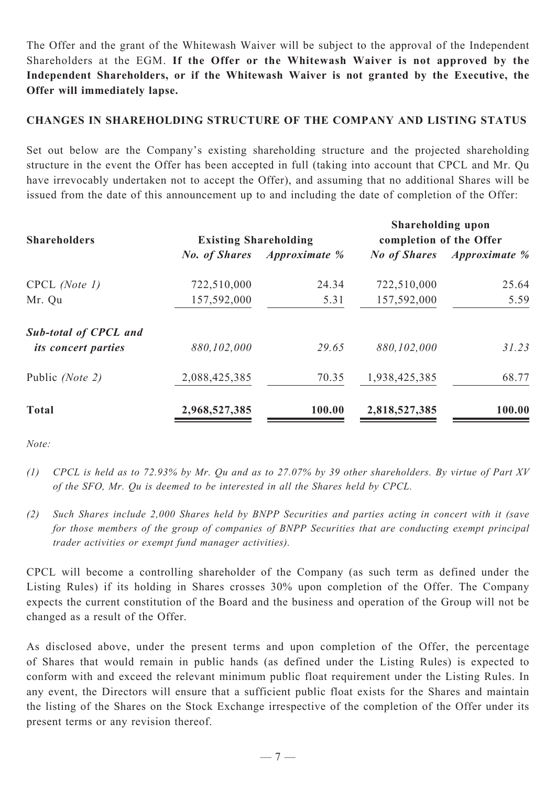The Offer and the grant of the Whitewash Waiver will be subject to the approval of the Independent Shareholders at the EGM. **If the Offer or the Whitewash Waiver is not approved by the Independent Shareholders, or if the Whitewash Waiver is not granted by the Executive, the Offer will immediately lapse.**

### **CHANGES IN SHAREHOLDING STRUCTURE OF THE COMPANY AND LISTING STATUS**

Set out below are the Company's existing shareholding structure and the projected shareholding structure in the event the Offer has been accepted in full (taking into account that CPCL and Mr. Qu have irrevocably undertaken not to accept the Offer), and assuming that no additional Shares will be issued from the date of this announcement up to and including the date of completion of the Offer:

| <b>Shareholders</b>          | <b>Existing Shareholding</b> |                                    | <b>Shareholding upon</b><br>completion of the Offer |                                   |
|------------------------------|------------------------------|------------------------------------|-----------------------------------------------------|-----------------------------------|
|                              |                              | <b>No. of Shares</b> Approximate % |                                                     | <b>No of Shares</b> Approximate % |
| $CPCL$ (Note 1)              | 722,510,000                  | 24.34                              | 722,510,000                                         | 25.64                             |
| Mr. Qu                       | 157,592,000                  | 5.31                               | 157,592,000                                         | 5.59                              |
| <b>Sub-total of CPCL and</b> |                              |                                    |                                                     |                                   |
| <i>its concert parties</i>   | 880,102,000                  | 29.65                              | 880,102,000                                         | 31.23                             |
| Public (Note 2)              | 2,088,425,385                | 70.35                              | 1,938,425,385                                       | 68.77                             |
| <b>Total</b>                 | 2,968,527,385                | 100.00                             | 2,818,527,385                                       | 100.00                            |

*Note:*

- *(1) CPCL is held as to 72.93% by Mr. Qu and as to 27.07% by 39 other shareholders. By virtue of Part XV of the SFO, Mr. Qu is deemed to be interested in all the Shares held by CPCL.*
- *(2) Such Shares include 2,000 Shares held by BNPP Securities and parties acting in concert with it (save for those members of the group of companies of BNPP Securities that are conducting exempt principal trader activities or exempt fund manager activities).*

CPCL will become a controlling shareholder of the Company (as such term as defined under the Listing Rules) if its holding in Shares crosses 30% upon completion of the Offer. The Company expects the current constitution of the Board and the business and operation of the Group will not be changed as a result of the Offer.

As disclosed above, under the present terms and upon completion of the Offer, the percentage of Shares that would remain in public hands (as defined under the Listing Rules) is expected to conform with and exceed the relevant minimum public float requirement under the Listing Rules. In any event, the Directors will ensure that a sufficient public float exists for the Shares and maintain the listing of the Shares on the Stock Exchange irrespective of the completion of the Offer under its present terms or any revision thereof.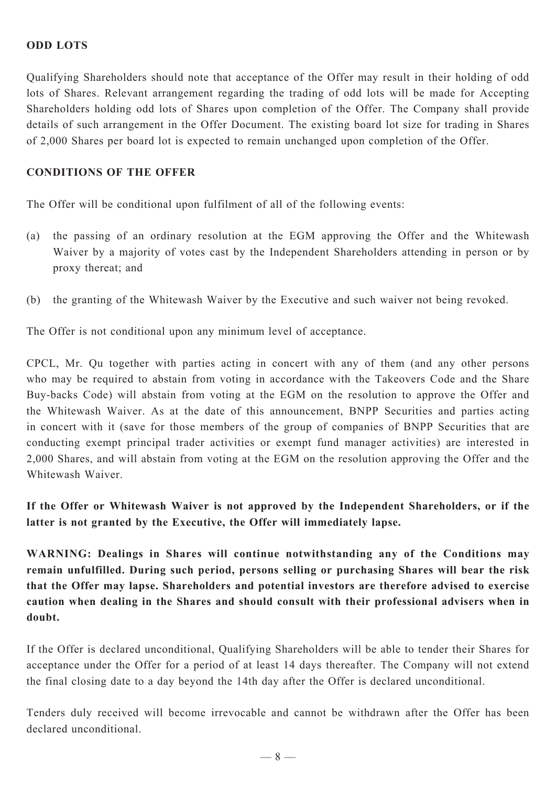### **ODD LOTS**

Qualifying Shareholders should note that acceptance of the Offer may result in their holding of odd lots of Shares. Relevant arrangement regarding the trading of odd lots will be made for Accepting Shareholders holding odd lots of Shares upon completion of the Offer. The Company shall provide details of such arrangement in the Offer Document. The existing board lot size for trading in Shares of 2,000 Shares per board lot is expected to remain unchanged upon completion of the Offer.

### **CONDITIONS OF THE OFFER**

The Offer will be conditional upon fulfilment of all of the following events:

- (a) the passing of an ordinary resolution at the EGM approving the Offer and the Whitewash Waiver by a majority of votes cast by the Independent Shareholders attending in person or by proxy thereat; and
- (b) the granting of the Whitewash Waiver by the Executive and such waiver not being revoked.

The Offer is not conditional upon any minimum level of acceptance.

CPCL, Mr. Qu together with parties acting in concert with any of them (and any other persons who may be required to abstain from voting in accordance with the Takeovers Code and the Share Buy-backs Code) will abstain from voting at the EGM on the resolution to approve the Offer and the Whitewash Waiver. As at the date of this announcement, BNPP Securities and parties acting in concert with it (save for those members of the group of companies of BNPP Securities that are conducting exempt principal trader activities or exempt fund manager activities) are interested in 2,000 Shares, and will abstain from voting at the EGM on the resolution approving the Offer and the Whitewash Waiver.

**If the Offer or Whitewash Waiver is not approved by the Independent Shareholders, or if the latter is not granted by the Executive, the Offer will immediately lapse.**

**WARNING: Dealings in Shares will continue notwithstanding any of the Conditions may remain unfulfilled. During such period, persons selling or purchasing Shares will bear the risk that the Offer may lapse. Shareholders and potential investors are therefore advised to exercise caution when dealing in the Shares and should consult with their professional advisers when in doubt.**

If the Offer is declared unconditional, Qualifying Shareholders will be able to tender their Shares for acceptance under the Offer for a period of at least 14 days thereafter. The Company will not extend the final closing date to a day beyond the 14th day after the Offer is declared unconditional.

Tenders duly received will become irrevocable and cannot be withdrawn after the Offer has been declared unconditional.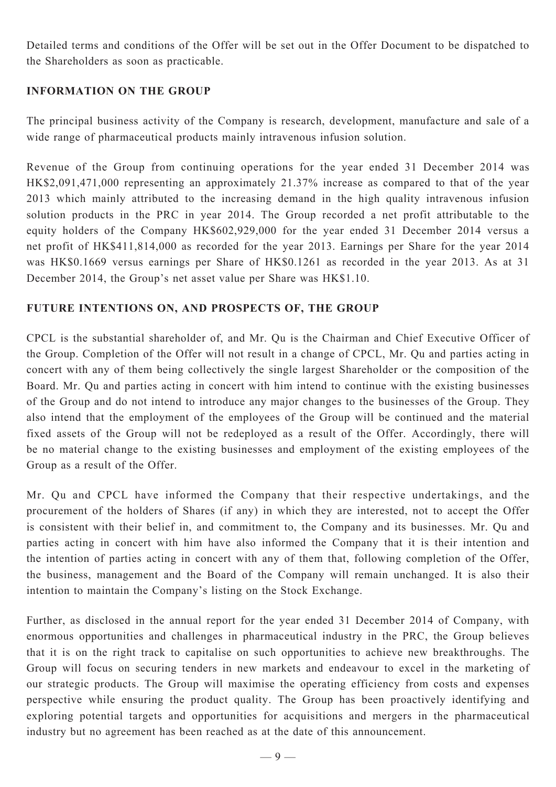Detailed terms and conditions of the Offer will be set out in the Offer Document to be dispatched to the Shareholders as soon as practicable.

### **INFORMATION ON THE GROUP**

The principal business activity of the Company is research, development, manufacture and sale of a wide range of pharmaceutical products mainly intravenous infusion solution.

Revenue of the Group from continuing operations for the year ended 31 December 2014 was HK\$2,091,471,000 representing an approximately 21.37% increase as compared to that of the year 2013 which mainly attributed to the increasing demand in the high quality intravenous infusion solution products in the PRC in year 2014. The Group recorded a net profit attributable to the equity holders of the Company HK\$602,929,000 for the year ended 31 December 2014 versus a net profit of HK\$411,814,000 as recorded for the year 2013. Earnings per Share for the year 2014 was HK\$0.1669 versus earnings per Share of HK\$0.1261 as recorded in the year 2013. As at 31 December 2014, the Group's net asset value per Share was HK\$1.10.

### **FUTURE INTENTIONS ON, AND PROSPECTS OF, THE GROUP**

CPCL is the substantial shareholder of, and Mr. Qu is the Chairman and Chief Executive Officer of the Group. Completion of the Offer will not result in a change of CPCL, Mr. Qu and parties acting in concert with any of them being collectively the single largest Shareholder or the composition of the Board. Mr. Qu and parties acting in concert with him intend to continue with the existing businesses of the Group and do not intend to introduce any major changes to the businesses of the Group. They also intend that the employment of the employees of the Group will be continued and the material fixed assets of the Group will not be redeployed as a result of the Offer. Accordingly, there will be no material change to the existing businesses and employment of the existing employees of the Group as a result of the Offer.

Mr. Qu and CPCL have informed the Company that their respective undertakings, and the procurement of the holders of Shares (if any) in which they are interested, not to accept the Offer is consistent with their belief in, and commitment to, the Company and its businesses. Mr. Qu and parties acting in concert with him have also informed the Company that it is their intention and the intention of parties acting in concert with any of them that, following completion of the Offer, the business, management and the Board of the Company will remain unchanged. It is also their intention to maintain the Company's listing on the Stock Exchange.

Further, as disclosed in the annual report for the year ended 31 December 2014 of Company, with enormous opportunities and challenges in pharmaceutical industry in the PRC, the Group believes that it is on the right track to capitalise on such opportunities to achieve new breakthroughs. The Group will focus on securing tenders in new markets and endeavour to excel in the marketing of our strategic products. The Group will maximise the operating efficiency from costs and expenses perspective while ensuring the product quality. The Group has been proactively identifying and exploring potential targets and opportunities for acquisitions and mergers in the pharmaceutical industry but no agreement has been reached as at the date of this announcement.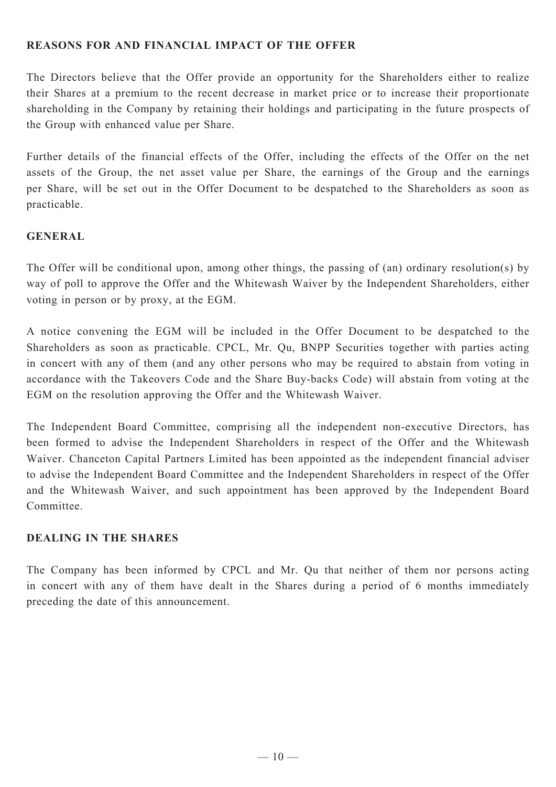### **REASONS FOR AND FINANCIAL IMPACT OF THE OFFER**

The Directors believe that the Offer provide an opportunity for the Shareholders either to realize their Shares at a premium to the recent decrease in market price or to increase their proportionate shareholding in the Company by retaining their holdings and participating in the future prospects of the Group with enhanced value per Share.

Further details of the financial effects of the Offer, including the effects of the Offer on the net assets of the Group, the net asset value per Share, the earnings of the Group and the earnings per Share, will be set out in the Offer Document to be despatched to the Shareholders as soon as practicable.

### **GENERAL**

The Offer will be conditional upon, among other things, the passing of (an) ordinary resolution(s) by way of poll to approve the Offer and the Whitewash Waiver by the Independent Shareholders, either voting in person or by proxy, at the EGM.

A notice convening the EGM will be included in the Offer Document to be despatched to the Shareholders as soon as practicable. CPCL, Mr. Qu, BNPP Securities together with parties acting in concert with any of them (and any other persons who may be required to abstain from voting in accordance with the Takeovers Code and the Share Buy-backs Code) will abstain from voting at the EGM on the resolution approving the Offer and the Whitewash Waiver.

The Independent Board Committee, comprising all the independent non-executive Directors, has been formed to advise the Independent Shareholders in respect of the Offer and the Whitewash Waiver. Chanceton Capital Partners Limited has been appointed as the independent financial adviser to advise the Independent Board Committee and the Independent Shareholders in respect of the Offer and the Whitewash Waiver, and such appointment has been approved by the Independent Board Committee.

### **DEALING IN THE SHARES**

The Company has been informed by CPCL and Mr. Qu that neither of them nor persons acting in concert with any of them have dealt in the Shares during a period of 6 months immediately preceding the date of this announcement.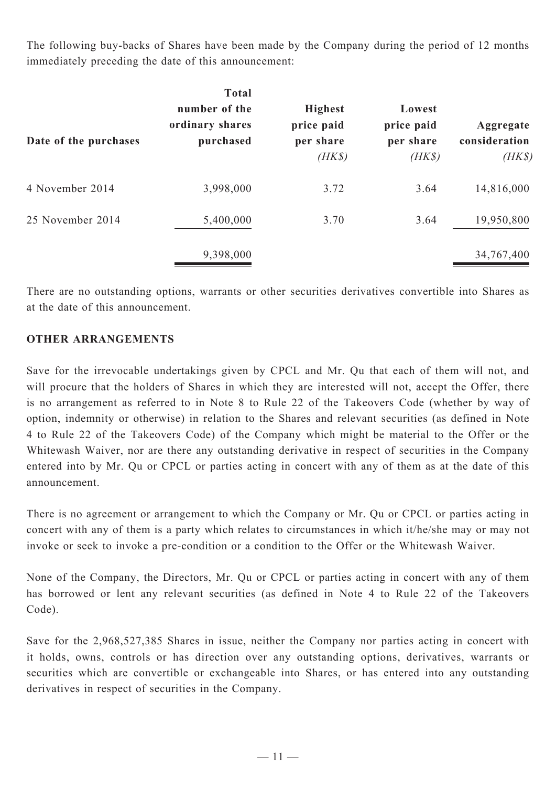The following buy-backs of Shares have been made by the Company during the period of 12 months immediately preceding the date of this announcement:

| Date of the purchases | <b>Total</b><br>number of the<br>ordinary shares<br>purchased | <b>Highest</b><br>price paid<br>per share<br>$(HK\$ | Lowest<br>price paid<br>per share<br>$(HK\$ | Aggregate<br>consideration<br>$(HK\$ |
|-----------------------|---------------------------------------------------------------|-----------------------------------------------------|---------------------------------------------|--------------------------------------|
| 4 November 2014       | 3,998,000                                                     | 3.72                                                | 3.64                                        | 14,816,000                           |
| 25 November 2014      | 5,400,000                                                     | 3.70                                                | 3.64                                        | 19,950,800                           |
|                       | 9,398,000                                                     |                                                     |                                             | 34,767,400                           |

There are no outstanding options, warrants or other securities derivatives convertible into Shares as at the date of this announcement.

### **OTHER ARRANGEMENTS**

Save for the irrevocable undertakings given by CPCL and Mr. Qu that each of them will not, and will procure that the holders of Shares in which they are interested will not, accept the Offer, there is no arrangement as referred to in Note 8 to Rule 22 of the Takeovers Code (whether by way of option, indemnity or otherwise) in relation to the Shares and relevant securities (as defined in Note 4 to Rule 22 of the Takeovers Code) of the Company which might be material to the Offer or the Whitewash Waiver, nor are there any outstanding derivative in respect of securities in the Company entered into by Mr. Qu or CPCL or parties acting in concert with any of them as at the date of this announcement.

There is no agreement or arrangement to which the Company or Mr. Qu or CPCL or parties acting in concert with any of them is a party which relates to circumstances in which it/he/she may or may not invoke or seek to invoke a pre-condition or a condition to the Offer or the Whitewash Waiver.

None of the Company, the Directors, Mr. Qu or CPCL or parties acting in concert with any of them has borrowed or lent any relevant securities (as defined in Note 4 to Rule 22 of the Takeovers Code).

Save for the 2,968,527,385 Shares in issue, neither the Company nor parties acting in concert with it holds, owns, controls or has direction over any outstanding options, derivatives, warrants or securities which are convertible or exchangeable into Shares, or has entered into any outstanding derivatives in respect of securities in the Company.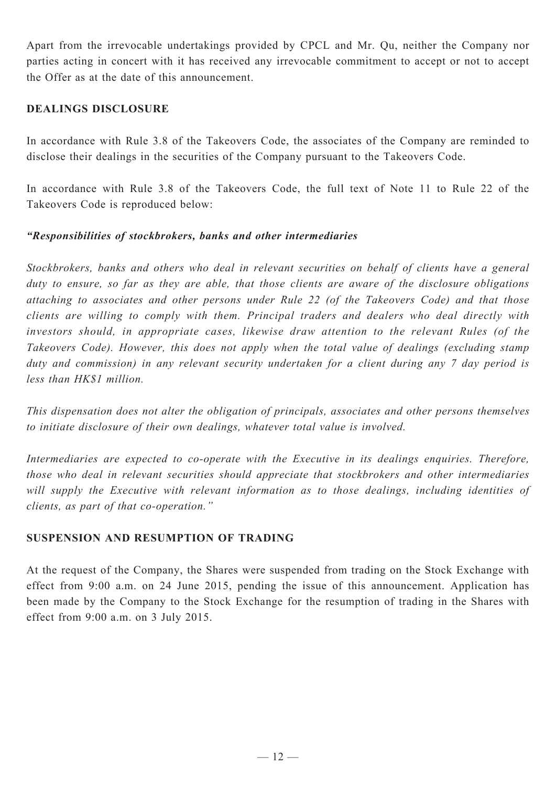Apart from the irrevocable undertakings provided by CPCL and Mr. Qu, neither the Company nor parties acting in concert with it has received any irrevocable commitment to accept or not to accept the Offer as at the date of this announcement.

#### **DEALINGS DISCLOSURE**

In accordance with Rule 3.8 of the Takeovers Code, the associates of the Company are reminded to disclose their dealings in the securities of the Company pursuant to the Takeovers Code.

In accordance with Rule 3.8 of the Takeovers Code, the full text of Note 11 to Rule 22 of the Takeovers Code is reproduced below:

### *"Responsibilities of stockbrokers, banks and other intermediaries*

*Stockbrokers, banks and others who deal in relevant securities on behalf of clients have a general duty to ensure, so far as they are able, that those clients are aware of the disclosure obligations attaching to associates and other persons under Rule 22 (of the Takeovers Code) and that those clients are willing to comply with them. Principal traders and dealers who deal directly with investors should, in appropriate cases, likewise draw attention to the relevant Rules (of the Takeovers Code). However, this does not apply when the total value of dealings (excluding stamp duty and commission) in any relevant security undertaken for a client during any 7 day period is less than HK\$1 million.*

*This dispensation does not alter the obligation of principals, associates and other persons themselves to initiate disclosure of their own dealings, whatever total value is involved.*

Intermediaries are expected to co-operate with the Executive in its dealings enquiries. Therefore, *those who deal in relevant securities should appreciate that stockbrokers and other intermediaries will supply the Executive with relevant information as to those dealings, including identities of clients, as part of that co-operation."*

### **SUSPENSION AND RESUMPTION OF TRADING**

At the request of the Company, the Shares were suspended from trading on the Stock Exchange with effect from 9:00 a.m. on 24 June 2015, pending the issue of this announcement. Application has been made by the Company to the Stock Exchange for the resumption of trading in the Shares with effect from 9:00 a.m. on 3 July 2015.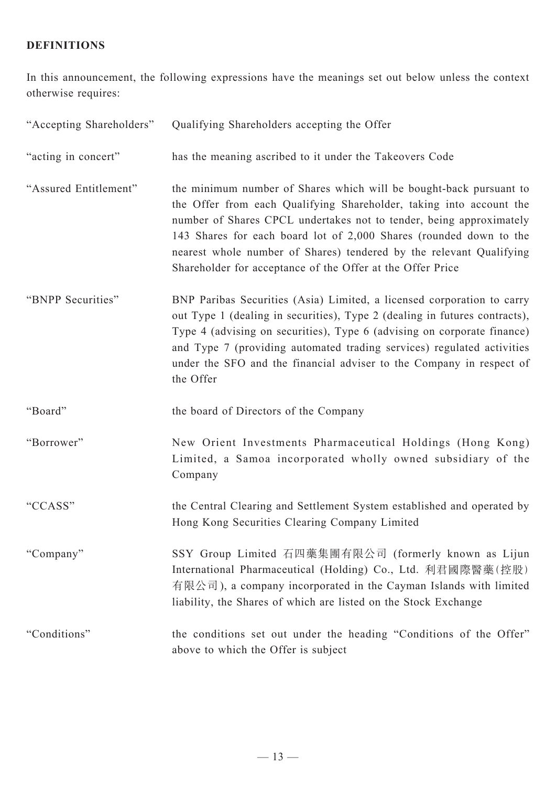# **DEFINITIONS**

In this announcement, the following expressions have the meanings set out below unless the context otherwise requires:

| "Accepting Shareholders" | Qualifying Shareholders accepting the Offer                                                                                                                                                                                                                                                                                                                                                                                 |
|--------------------------|-----------------------------------------------------------------------------------------------------------------------------------------------------------------------------------------------------------------------------------------------------------------------------------------------------------------------------------------------------------------------------------------------------------------------------|
| "acting in concert"      | has the meaning ascribed to it under the Takeovers Code                                                                                                                                                                                                                                                                                                                                                                     |
| "Assured Entitlement"    | the minimum number of Shares which will be bought-back pursuant to<br>the Offer from each Qualifying Shareholder, taking into account the<br>number of Shares CPCL undertakes not to tender, being approximately<br>143 Shares for each board lot of 2,000 Shares (rounded down to the<br>nearest whole number of Shares) tendered by the relevant Qualifying<br>Shareholder for acceptance of the Offer at the Offer Price |
| "BNPP Securities"        | BNP Paribas Securities (Asia) Limited, a licensed corporation to carry<br>out Type 1 (dealing in securities), Type 2 (dealing in futures contracts),<br>Type 4 (advising on securities), Type 6 (advising on corporate finance)<br>and Type 7 (providing automated trading services) regulated activities<br>under the SFO and the financial adviser to the Company in respect of<br>the Offer                              |
| "Board"                  | the board of Directors of the Company                                                                                                                                                                                                                                                                                                                                                                                       |
| "Borrower"               | New Orient Investments Pharmaceutical Holdings (Hong Kong)<br>Limited, a Samoa incorporated wholly owned subsidiary of the<br>Company                                                                                                                                                                                                                                                                                       |
| "CCASS"                  | the Central Clearing and Settlement System established and operated by<br>Hong Kong Securities Clearing Company Limited                                                                                                                                                                                                                                                                                                     |
| "Company"                | SSY Group Limited 石四藥集團有限公司 (formerly known as Lijun<br>International Pharmaceutical (Holding) Co., Ltd. 利君國際醫藥(控股)<br>有限公司), a company incorporated in the Cayman Islands with limited<br>liability, the Shares of which are listed on the Stock Exchange                                                                                                                                                                  |
| "Conditions"             | the conditions set out under the heading "Conditions of the Offer"<br>above to which the Offer is subject                                                                                                                                                                                                                                                                                                                   |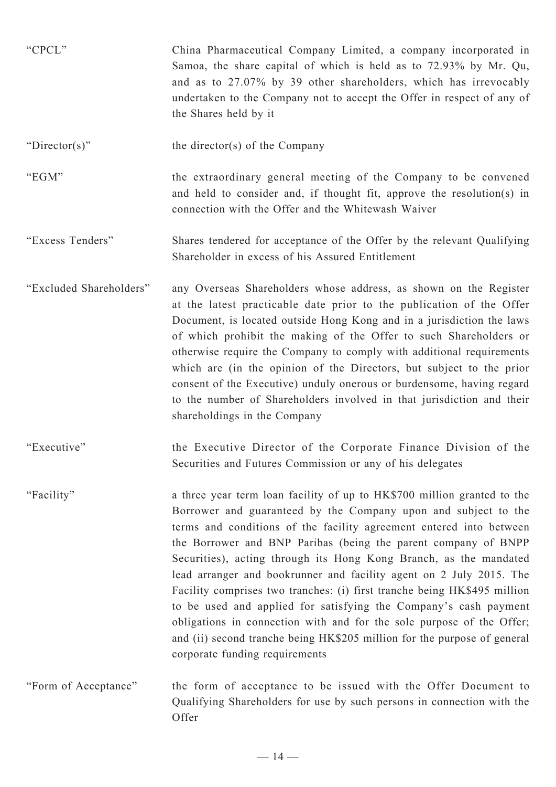| "CPCL"                  | China Pharmaceutical Company Limited, a company incorporated in<br>Samoa, the share capital of which is held as to 72.93% by Mr. Qu,<br>and as to 27.07% by 39 other shareholders, which has irrevocably<br>undertaken to the Company not to accept the Offer in respect of any of<br>the Shares held by it                                                                                                                                                                                                                                                                                                                                                                                                                                                           |
|-------------------------|-----------------------------------------------------------------------------------------------------------------------------------------------------------------------------------------------------------------------------------------------------------------------------------------------------------------------------------------------------------------------------------------------------------------------------------------------------------------------------------------------------------------------------------------------------------------------------------------------------------------------------------------------------------------------------------------------------------------------------------------------------------------------|
| "Director(s)"           | the director(s) of the Company                                                                                                                                                                                                                                                                                                                                                                                                                                                                                                                                                                                                                                                                                                                                        |
| "EGM"                   | the extraordinary general meeting of the Company to be convened<br>and held to consider and, if thought fit, approve the resolution(s) in<br>connection with the Offer and the Whitewash Waiver                                                                                                                                                                                                                                                                                                                                                                                                                                                                                                                                                                       |
| "Excess Tenders"        | Shares tendered for acceptance of the Offer by the relevant Qualifying<br>Shareholder in excess of his Assured Entitlement                                                                                                                                                                                                                                                                                                                                                                                                                                                                                                                                                                                                                                            |
| "Excluded Shareholders" | any Overseas Shareholders whose address, as shown on the Register<br>at the latest practicable date prior to the publication of the Offer<br>Document, is located outside Hong Kong and in a jurisdiction the laws<br>of which prohibit the making of the Offer to such Shareholders or<br>otherwise require the Company to comply with additional requirements<br>which are (in the opinion of the Directors, but subject to the prior<br>consent of the Executive) unduly onerous or burdensome, having regard<br>to the number of Shareholders involved in that jurisdiction and their<br>shareholdings in the Company                                                                                                                                             |
| "Executive"             | the Executive Director of the Corporate Finance Division of the<br>Securities and Futures Commission or any of his delegates                                                                                                                                                                                                                                                                                                                                                                                                                                                                                                                                                                                                                                          |
| "Facility"              | a three year term loan facility of up to HK\$700 million granted to the<br>Borrower and guaranteed by the Company upon and subject to the<br>terms and conditions of the facility agreement entered into between<br>the Borrower and BNP Paribas (being the parent company of BNPP<br>Securities), acting through its Hong Kong Branch, as the mandated<br>lead arranger and bookrunner and facility agent on 2 July 2015. The<br>Facility comprises two tranches: (i) first tranche being HK\$495 million<br>to be used and applied for satisfying the Company's cash payment<br>obligations in connection with and for the sole purpose of the Offer;<br>and (ii) second tranche being HK\$205 million for the purpose of general<br>corporate funding requirements |
| "Form of Acceptance"    | the form of acceptance to be issued with the Offer Document to<br>Qualifying Shareholders for use by such persons in connection with the<br>Offer                                                                                                                                                                                                                                                                                                                                                                                                                                                                                                                                                                                                                     |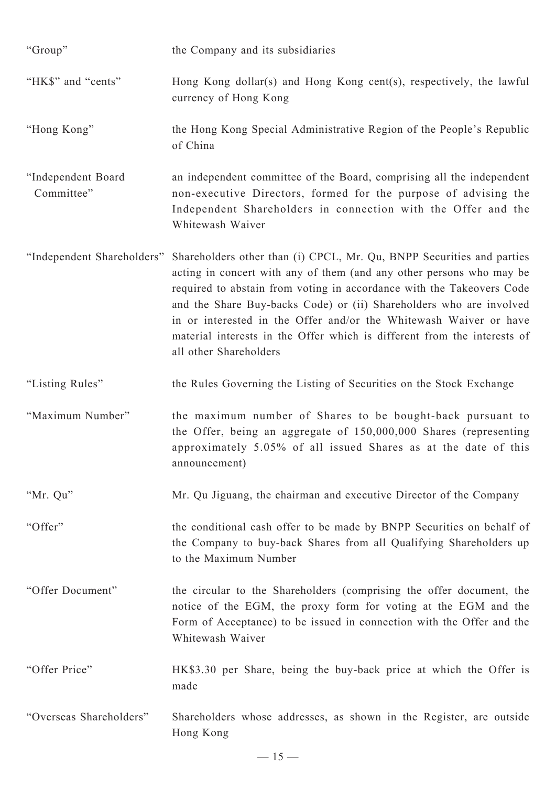| "Group"                          | the Company and its subsidiaries                                                                                                                                                                                                                                                                                                                                                                                                                                         |
|----------------------------------|--------------------------------------------------------------------------------------------------------------------------------------------------------------------------------------------------------------------------------------------------------------------------------------------------------------------------------------------------------------------------------------------------------------------------------------------------------------------------|
| "HK\$" and "cents"               | Hong Kong dollar(s) and Hong Kong cent(s), respectively, the lawful<br>currency of Hong Kong                                                                                                                                                                                                                                                                                                                                                                             |
| "Hong Kong"                      | the Hong Kong Special Administrative Region of the People's Republic<br>of China                                                                                                                                                                                                                                                                                                                                                                                         |
| "Independent Board<br>Committee" | an independent committee of the Board, comprising all the independent<br>non-executive Directors, formed for the purpose of advising the<br>Independent Shareholders in connection with the Offer and the<br>Whitewash Waiver                                                                                                                                                                                                                                            |
| "Independent Shareholders"       | Shareholders other than (i) CPCL, Mr. Qu, BNPP Securities and parties<br>acting in concert with any of them (and any other persons who may be<br>required to abstain from voting in accordance with the Takeovers Code<br>and the Share Buy-backs Code) or (ii) Shareholders who are involved<br>in or interested in the Offer and/or the Whitewash Waiver or have<br>material interests in the Offer which is different from the interests of<br>all other Shareholders |
| "Listing Rules"                  | the Rules Governing the Listing of Securities on the Stock Exchange                                                                                                                                                                                                                                                                                                                                                                                                      |
| "Maximum Number"                 | the maximum number of Shares to be bought-back pursuant to<br>the Offer, being an aggregate of 150,000,000 Shares (representing<br>approximately 5.05% of all issued Shares as at the date of this<br>announcement)                                                                                                                                                                                                                                                      |
| "Mr. Qu"                         | Mr. Qu Jiguang, the chairman and executive Director of the Company                                                                                                                                                                                                                                                                                                                                                                                                       |
| "Offer"                          | the conditional cash offer to be made by BNPP Securities on behalf of<br>the Company to buy-back Shares from all Qualifying Shareholders up<br>to the Maximum Number                                                                                                                                                                                                                                                                                                     |
| "Offer Document"                 | the circular to the Shareholders (comprising the offer document, the<br>notice of the EGM, the proxy form for voting at the EGM and the<br>Form of Acceptance) to be issued in connection with the Offer and the<br>Whitewash Waiver                                                                                                                                                                                                                                     |
| "Offer Price"                    | HK\$3.30 per Share, being the buy-back price at which the Offer is<br>made                                                                                                                                                                                                                                                                                                                                                                                               |
| "Overseas Shareholders"          | Shareholders whose addresses, as shown in the Register, are outside<br>Hong Kong                                                                                                                                                                                                                                                                                                                                                                                         |